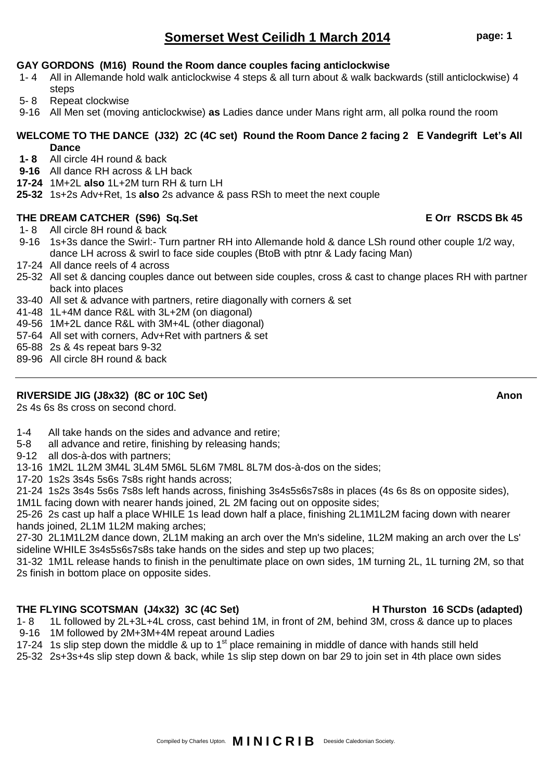### Compiled by Charles Upton. **M I N I C R I B** Deeside Caledonian Society.

# **Somerset West Ceilidh 1 March 2014 page: 1**

# **GAY GORDONS (M16) Round the Room dance couples facing anticlockwise**<br>1-4 All in Allemande hold walk anticlockwise 4 steps & all turn about & walk back

- All in Allemande hold walk anticlockwise 4 steps & all turn about & walk backwards (still anticlockwise) 4 steps
- 5- 8 Repeat clockwise
- 9-16 All Men set (moving anticlockwise) **as** Ladies dance under Mans right arm, all polka round the room

### **WELCOME TO THE DANCE (J32) 2C (4C set) Round the Room Dance 2 facing 2 E Vandegrift Let's All Dance**

- **1- 8** All circle 4H round & back
- **9-16** All dance RH across & LH back
- **17-24** 1M+2L **also** 1L+2M turn RH & turn LH
- **25-32** 1s+2s Adv+Ret, 1s **also** 2s advance & pass RSh to meet the next couple

### **THE DREAM CATCHER (S96) Sq.Set E Orr RSCDS Bk 45**

- 1- 8 All circle 8H round & back
- 9-16 1s+3s dance the Swirl:- Turn partner RH into Allemande hold & dance LSh round other couple 1/2 way, dance LH across & swirl to face side couples (BtoB with ptnr & Lady facing Man)
- 17-24 All dance reels of 4 across
- 25-32 All set & dancing couples dance out between side couples, cross & cast to change places RH with partner back into places
- 33-40 All set & advance with partners, retire diagonally with corners & set
- 41-48 1L+4M dance R&L with 3L+2M (on diagonal)
- 49-56 1M+2L dance R&L with 3M+4L (other diagonal)
- 57-64 All set with corners, Adv+Ret with partners & set
- 65-88 2s & 4s repeat bars 9-32
- 89-96 All circle 8H round & back

### **RIVERSIDE JIG (J8x32) (8C or 10C Set) Anon**

2s 4s 6s 8s cross on second chord.

- 1-4 All take hands on the sides and advance and retire;
- 5-8 all advance and retire, finishing by releasing hands;
- 9-12 all dos-à-dos with partners;
- 13-16 1M2L 1L2M 3M4L 3L4M 5M6L 5L6M 7M8L 8L7M dos-à-dos on the sides;
- 17-20 1s2s 3s4s 5s6s 7s8s right hands across;

21-24 1s2s 3s4s 5s6s 7s8s left hands across, finishing 3s4s5s6s7s8s in places (4s 6s 8s on opposite sides), 1M1L facing down with nearer hands joined, 2L 2M facing out on opposite sides;

25-26 2s cast up half a place WHILE 1s lead down half a place, finishing 2L1M1L2M facing down with nearer hands joined, 2L1M 1L2M making arches;

27-30 2L1M1L2M dance down, 2L1M making an arch over the Mn's sideline, 1L2M making an arch over the Ls' sideline WHILE 3s4s5s6s7s8s take hands on the sides and step up two places;

31-32 1M1L release hands to finish in the penultimate place on own sides, 1M turning 2L, 1L turning 2M, so that 2s finish in bottom place on opposite sides.

### **THE FLYING SCOTSMAN (J4x32) 3C (4C Set) H Thurston 16 SCDs (adapted)**

- 1- 8 1L followed by 2L+3L+4L cross, cast behind 1M, in front of 2M, behind 3M, cross & dance up to places 9-16 1M followed by 2M+3M+4M repeat around Ladies
- 17-24 1s slip step down the middle  $\&$  up to 1<sup>st</sup> place remaining in middle of dance with hands still held
- 25-32 2s+3s+4s slip step down & back, while 1s slip step down on bar 29 to join set in 4th place own sides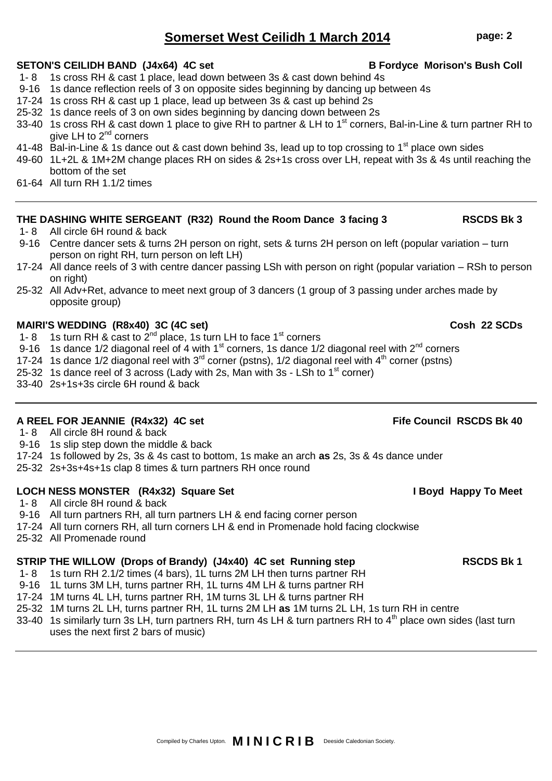# **Somerset West Ceilidh 1 March 2014 page: 2**

### SETON'S CEILIDH BAND (J4x64) 4C set **B Fordyce Morison's Bush Coll**

- 1- 8 1s cross RH & cast 1 place, lead down between 3s & cast down behind 4s
- 9-16 1s dance reflection reels of 3 on opposite sides beginning by dancing up between 4s
- 17-24 1s cross RH & cast up 1 place, lead up between 3s & cast up behind 2s
- 25-32 1s dance reels of 3 on own sides beginning by dancing down between 2s
- 33-40 1s cross RH & cast down 1 place to give RH to partner & LH to 1<sup>st</sup> corners, Bal-in-Line & turn partner RH to give LH to  $2^{nd}$  corners
- 41-48 Bal-in-Line & 1s dance out & cast down behind 3s, lead up to top crossing to 1<sup>st</sup> place own sides
- 49-60 1L+2L & 1M+2M change places RH on sides & 2s+1s cross over LH, repeat with 3s & 4s until reaching the bottom of the set
- 61-64 All turn RH 1.1/2 times

### **THE DASHING WHITE SERGEANT (R32) Round the Room Dance 3 facing 3 RSCDS Bk 3**

- 1- 8 All circle 6H round & back
- 9-16 Centre dancer sets & turns 2H person on right, sets & turns 2H person on left (popular variation turn person on right RH, turn person on left LH)
- 17-24 All dance reels of 3 with centre dancer passing LSh with person on right (popular variation RSh to person on right)
- 25-32 All Adv+Ret, advance to meet next group of 3 dancers (1 group of 3 passing under arches made by opposite group)

### **MAIRI'S WEDDING (R8x40) 3C (4C set) Cosh 22 SCDs**

- 1- 8 1s turn RH & cast to  $2^{nd}$  place, 1s turn LH to face 1<sup>st</sup> corners
- 9-16 1s dance 1/2 diagonal reel of 4 with 1st corners, 1s dance 1/2 diagonal reel with  $2^{nd}$  corners
- 17-24 1s dance 1/2 diagonal reel with  $3<sup>rd</sup>$  corner (pstns), 1/2 diagonal reel with  $4<sup>th</sup>$  corner (pstns)
- 25-32 1s dance reel of  $\overline{3}$  across (Lady with 2s, Man with 3s LSh to 1<sup>st</sup> corner)
- 33-40 2s+1s+3s circle 6H round & back

### **A REEL FOR JEANNIE (R4x32) 4C set Fife Council RSCDS Bk 40**

- 1- 8 All circle 8H round & back
- 9-16 1s slip step down the middle & back
- 17-24 1s followed by 2s, 3s & 4s cast to bottom, 1s make an arch **as** 2s, 3s & 4s dance under
- 25-32 2s+3s+4s+1s clap 8 times & turn partners RH once round

### LOCH NESS MONSTER (R4x32) Square Set **I Boyd Happy To Meet**

- 1- 8 All circle 8H round & back
- 9-16 All turn partners RH, all turn partners LH & end facing corner person
- 17-24 All turn corners RH, all turn corners LH & end in Promenade hold facing clockwise
- 25-32 All Promenade round

### **STRIP THE WILLOW (Drops of Brandy) (J4x40) 4C set Running step RSCDS Bk 1**

- 1- 8 1s turn RH 2.1/2 times (4 bars), 1L turns 2M LH then turns partner RH
- 9-16 1L turns 3M LH, turns partner RH, 1L turns 4M LH & turns partner RH
- 17-24 1M turns 4L LH, turns partner RH, 1M turns 3L LH & turns partner RH
- 25-32 1M turns 2L LH, turns partner RH, 1L turns 2M LH **as** 1M turns 2L LH, 1s turn RH in centre
- 33-40 1s similarly turn 3s LH, turn partners RH, turn 4s LH & turn partners RH to 4<sup>th</sup> place own sides (last turn uses the next first 2 bars of music)